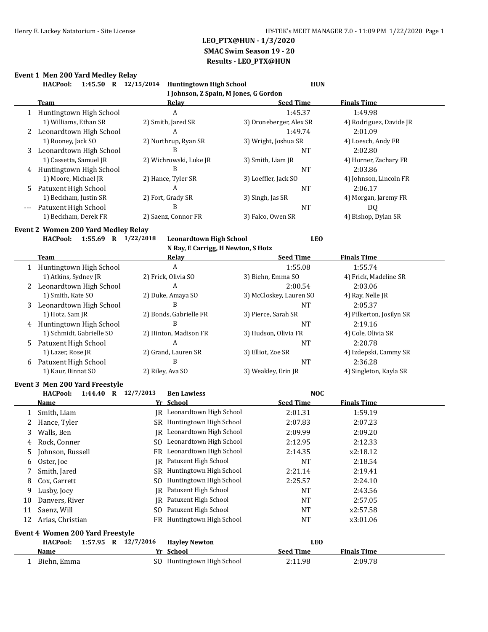### **Event 1 Men 200 Yard Medley Relay**

|       | <b>HACPool:</b><br>1:45.50 R 12/15/2014    | <b>Huntingtown High School</b>          | <b>HUN</b>              |                          |
|-------|--------------------------------------------|-----------------------------------------|-------------------------|--------------------------|
|       |                                            | I Johnson, Z Spain, M Jones, G Gordon   |                         |                          |
|       | Team                                       | <u>Relav</u>                            | <b>Seed Time</b>        | <b>Finals Time</b>       |
|       | 1 Huntingtown High School                  | А                                       | 1:45.37                 | 1:49.98                  |
|       | 1) Williams, Ethan SR                      | 2) Smith, Jared SR                      | 3) Droneberger, Alex SR | 4) Rodriguez, Davide JR  |
| 2     | Leonardtown High School                    | A                                       | 1:49.74                 | 2:01.09                  |
|       | 1) Rooney, Jack SO                         | 2) Northrup, Ryan SR                    | 3) Wright, Joshua SR    | 4) Loesch, Andy FR       |
|       | Leonardtown High School                    | B                                       | <b>NT</b>               | 2:02.80                  |
|       | 1) Cassetta, Samuel JR                     | 2) Wichrowski, Luke JR                  | 3) Smith, Liam JR       | 4) Horner, Zachary FR    |
|       | 4 Huntingtown High School                  | B                                       | <b>NT</b>               | 2:03.86                  |
|       | 1) Moore, Michael JR                       | 2) Hance, Tyler SR                      | 3) Loeffler, Jack SO    | 4) Johnson, Lincoln FR   |
| 5     | Patuxent High School                       | A                                       | <b>NT</b>               | 2:06.17                  |
|       | 1) Beckham, Justin SR                      | 2) Fort, Grady SR                       | 3) Singh, Jas SR        | 4) Morgan, Jaremy FR     |
| $---$ | Patuxent High School                       | B                                       | <b>NT</b>               | DQ                       |
|       | 1) Beckham, Derek FR                       | 2) Saenz, Connor FR                     | 3) Falco, Owen SR       | 4) Bishop, Dylan SR      |
|       | <b>Event 2 Women 200 Yard Medley Relay</b> |                                         |                         |                          |
|       | <b>HACPool:</b><br>1:55.69 R 1/22/2018     | <b>Leonardtown High School</b>          | <b>LEO</b>              |                          |
|       |                                            | N Ray, E Carrigg, H Newton, S Hotz      |                         |                          |
|       | Team                                       | <u>Relay</u>                            | <b>Seed Time</b>        | <b>Finals Time</b>       |
|       | 1 Huntingtown High School                  | A                                       | 1:55.08                 | 1:55.74                  |
|       | 1) Atkins, Sydney JR                       | 2) Frick, Olivia SO                     | 3) Biehn, Emma SO       | 4) Frick, Madeline SR    |
|       | 2 Leonardtown High School                  | А                                       | 2:00.54                 | 2:03.06                  |
|       | 1) Smith, Kate SO                          | 2) Duke, Amaya SO                       | 3) McCloskey, Lauren SO | 4) Ray, Nelle JR         |
| 3     | Leonardtown High School                    | B                                       | <b>NT</b>               | 2:05.37                  |
|       | 1) Hotz, Sam JR                            | 2) Bonds, Gabrielle FR                  | 3) Pierce, Sarah SR     | 4) Pilkerton, Josilyn SR |
|       | 4 Huntingtown High School                  | B                                       | <b>NT</b>               | 2:19.16                  |
|       | 1) Schmidt, Gabrielle SO                   | 2) Hinton, Madison FR                   | 3) Hudson, Olivia FR    | 4) Cole, Olivia SR       |
| 5     | Patuxent High School                       | A                                       | <b>NT</b>               | 2:20.78                  |
|       | 1) Lazer, Rose JR                          | 2) Grand, Lauren SR                     | 3) Elliot, Zoe SR       | 4) Izdepski, Cammy SR    |
|       | 6 Patuxent High School                     | B                                       | <b>NT</b>               | 2:36.28                  |
|       | 1) Kaur, Binnat SO                         | 2) Riley, Ava SO                        | 3) Weakley, Erin JR     | 4) Singleton, Kayla SR   |
|       | Event 3 Men 200 Yard Freestyle             |                                         |                         |                          |
|       | <b>HACPool:</b><br>1:44.40 R $12/7/2013$   | <b>Ben Lawless</b>                      | <b>NOC</b>              |                          |
|       | <b>Name</b>                                | Yr School                               | <b>Seed Time</b>        | <b>Finals Time</b>       |
| 1     | Smith, Liam                                | JR Leonardtown High School              | 2:01.31                 | 1:59.19                  |
| 2     | Hance, Tyler                               | SR Huntingtown High School              | 2:07.83                 | 2:07.23                  |
| 3     | Walls, Ben                                 | IR Leonardtown High School              | 2:09.99                 | 2:09.20                  |
| 4     | Rock, Conner                               | SO Leonardtown High School              | 2:12.95                 | 2:12.33                  |
| 5     | Johnson, Russell                           | FR Leonardtown High School              | 2:14.35                 | x2:18.12                 |
| 6     | Oster, Joe                                 | Patuxent High School<br><b>IR</b>       | <b>NT</b>               | 2:18.54                  |
| 7     | Smith, Jared                               | Huntingtown High School<br>SR           | 2:21.14                 | 2:19.41                  |
| 8     | Cox, Garrett                               | Huntingtown High School<br>SO.          | 2:25.57                 | 2:24.10                  |
| 9     | Lusby, Joey                                | Patuxent High School<br>IR              | NT                      | 2:43.56                  |
|       | Danvers, River                             | Patuxent High School<br>IR              |                         |                          |
| 10    |                                            | Patuxent High School                    | NT                      | 2:57.05                  |
| 11    | Saenz, Will                                | SO.                                     | NT                      | x2:57.58                 |
| 12    | Arias, Christian                           | FR Huntingtown High School              | NT                      | x3:01.06                 |
|       | Event 4 Women 200 Yard Freestyle           |                                         |                         |                          |
|       |                                            |                                         |                         |                          |
|       | 1:57.95 R 12/7/2016<br><b>HACPool:</b>     | <b>Hayley Newton</b>                    | <b>LEO</b>              |                          |
|       | <u>Name</u>                                | Yr School<br>SO Huntingtown High School | <b>Seed Time</b>        | <b>Finals Time</b>       |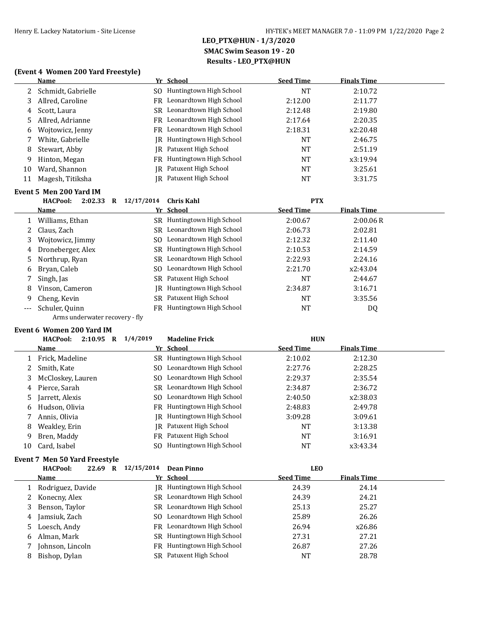### **(Event 4 Women 200 Yard Freestyle)**

|     | <b>Name</b>                            |            | Yr School                  | <b>Seed Time</b> | <b>Finals Time</b> |  |
|-----|----------------------------------------|------------|----------------------------|------------------|--------------------|--|
| 2   | Schmidt, Gabrielle                     | SO.        | Huntingtown High School    | <b>NT</b>        | 2:10.72            |  |
| 3   | Allred, Caroline                       | FR         | Leonardtown High School    | 2:12.00          | 2:11.77            |  |
| 4   | Scott, Laura                           | SR.        | Leonardtown High School    | 2:12.48          | 2:19.80            |  |
| 5   | Allred, Adrianne                       | <b>FR</b>  | Leonardtown High School    | 2:17.64          | 2:20.35            |  |
| 6   | Wojtowicz, Jenny                       | <b>FR</b>  | Leonardtown High School    | 2:18.31          | x2:20.48           |  |
| 7   | White, Gabrielle                       | IR         | Huntingtown High School    | <b>NT</b>        | 2:46.75            |  |
| 8   | Stewart, Abby                          | IR         | Patuxent High School       | <b>NT</b>        | 2:51.19            |  |
| 9   | Hinton, Megan                          | FR         | Huntingtown High School    | NT               | x3:19.94           |  |
| 10  | Ward, Shannon                          | IR         | Patuxent High School       | <b>NT</b>        | 3:25.61            |  |
| 11  | Magesh, Titiksha                       | IR         | Patuxent High School       | NT               | 3:31.75            |  |
|     | Event 5 Men 200 Yard IM                |            |                            |                  |                    |  |
|     |                                        |            |                            |                  |                    |  |
|     | <b>HACPool:</b><br>2:02.33<br>$\bf{R}$ | 12/17/2014 | <b>Chris Kahl</b>          | <b>PTX</b>       |                    |  |
|     | Name                                   |            | Yr School                  | <b>Seed Time</b> | <b>Finals Time</b> |  |
| 1   | Williams, Ethan                        |            | SR Huntingtown High School | 2:00.67          | 2:00.06R           |  |
| 2   | Claus, Zach                            | SR.        | Leonardtown High School    | 2:06.73          | 2:02.81            |  |
| 3   | Wojtowicz, Jimmy                       | SO.        | Leonardtown High School    | 2:12.32          | 2:11.40            |  |
| 4   | Droneberger, Alex                      | SR.        | Huntingtown High School    | 2:10.53          | 2:14.59            |  |
| 5   | Northrup, Ryan                         | SR.        | Leonardtown High School    | 2:22.93          | 2:24.16            |  |
| 6   | Bryan, Caleb                           | SO.        | Leonardtown High School    | 2:21.70          | x2:43.04           |  |
| 7   | Singh, Jas                             |            | SR Patuxent High School    | <b>NT</b>        | 2:44.67            |  |
| 8   | Vinson, Cameron                        | IR         | Huntingtown High School    | 2:34.87          | 3:16.71            |  |
| 9   | Cheng, Kevin                           | SR.        | Patuxent High School       | NT               | 3:35.56            |  |
| --- | Schuler, Quinn                         | FR         | Huntingtown High School    | <b>NT</b>        | DQ                 |  |

#### **Event 6 Women 200 Yard IM**

|    | <b>HACPool:</b><br>2:10.95<br>R | 1/4/2019<br><b>Madeline Frick</b> | <b>HUN</b>                             |         |
|----|---------------------------------|-----------------------------------|----------------------------------------|---------|
|    | Name                            | Yr School                         | <b>Finals Time</b><br><b>Seed Time</b> |         |
|    | Frick, Madeline                 | SR Huntingtown High School        | 2:10.02                                | 2:12.30 |
|    | Smith. Kate                     | SO Leonardtown High School        | 2:27.76                                | 2:28.25 |
| 3  | McCloskey, Lauren               | SO Leonardtown High School        | 2:29.37                                | 2:35.54 |
| 4  | Pierce, Sarah                   | SR Leonardtown High School        | 2:34.87                                | 2:36.72 |
| 5. | Jarrett, Alexis                 | SO Leonardtown High School        | 2:40.50<br>x2:38.03                    |         |
| 6  | Hudson, Olivia                  | FR Huntingtown High School        | 2:48.83                                | 2:49.78 |
| 7  | Annis, Olivia                   | JR Huntingtown High School        | 3:09.28<br>3:09.61                     |         |
| 8  | Weakley, Erin                   | IR Patuxent High School           | NT                                     | 3:13.38 |
| 9  | Bren, Maddy                     | FR Patuxent High School           | <b>NT</b>                              | 3:16.91 |
| 10 | Card, Isabel                    | Huntingtown High School           | NT<br>x3:43.34                         |         |

### **Event 7 Men 50 Yard Freestyle**

|    | <b>HACPool:</b>   | 22.69 R | 12/15/2014 | Dean Pinno                 | <b>LEO</b>       |                    |  |
|----|-------------------|---------|------------|----------------------------|------------------|--------------------|--|
|    | Name              |         |            | Yr School                  | <b>Seed Time</b> | <b>Finals Time</b> |  |
|    | Rodriguez, Davide |         |            | IR Huntingtown High School | 24.39            | 24.14              |  |
| 2. | Konecny, Alex     |         |            | SR Leonardtown High School | 24.39            | 24.21              |  |
| 3. | Benson, Taylor    |         |            | SR Leonardtown High School | 25.13            | 25.27              |  |
| 4  | Jamsiuk, Zach     |         |            | SO Leonardtown High School | 25.89            | 26.26              |  |
| 5. | Loesch, Andy      |         |            | FR Leonardtown High School | 26.94            | x26.86             |  |
| 6  | Alman, Mark       |         |            | SR Huntingtown High School | 27.31            | 27.21              |  |
|    | Johnson, Lincoln  |         | FR         | Huntingtown High School    | 26.87            | 27.26              |  |
| 8  | Bishop, Dylan     |         | SR         | Patuxent High School       | <b>NT</b>        | 28.78              |  |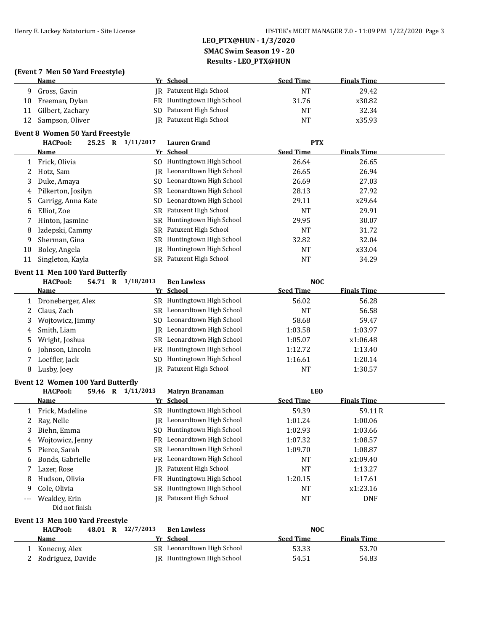### **(Event 7 Men 50 Yard Freestyle)**

|    | <b>Name</b>      | Yr School                  | <b>Seed Time</b> | <b>Finals Time</b> |
|----|------------------|----------------------------|------------------|--------------------|
|    | Gross, Gavin     | IR Patuxent High School    | <b>NT</b>        | 29.42              |
| 10 | Freeman, Dylan   | FR Huntingtown High School | 31.76            | x30.82             |
|    | Gilbert, Zachary | SO Patuxent High School    | NT               | 32.34              |
| 12 | Sampson, Oliver  | IR Patuxent High School    | <b>NT</b>        | x35.93             |

### **Event 8 Women 50 Yard Freestyle**

|    | <b>HACPool:</b><br>25.25 | 1/11/2017<br>R | <b>Lauren Grand</b>        | <b>PTX</b>       |                    |  |
|----|--------------------------|----------------|----------------------------|------------------|--------------------|--|
|    | Name                     |                | Yr School                  | <b>Seed Time</b> | <b>Finals Time</b> |  |
|    | Frick, Olivia            | SO.            | Huntingtown High School    | 26.64            | 26.65              |  |
|    | Hotz, Sam                |                | IR Leonardtown High School | 26.65            | 26.94              |  |
| 3  | Duke, Amaya              | SO.            | Leonardtown High School    | 26.69            | 27.03              |  |
|    | 4 Pilkerton, Josilyn     |                | SR Leonardtown High School | 28.13            | 27.92              |  |
| 5  | Carrigg, Anna Kate       | SO.            | Leonardtown High School    | 29.11            | x29.64             |  |
| 6  | Elliot. Zoe              |                | SR Patuxent High School    | <b>NT</b>        | 29.91              |  |
|    | Hinton, Jasmine          |                | SR Huntingtown High School | 29.95            | 30.07              |  |
| 8  | Izdepski, Cammy          |                | SR Patuxent High School    | <b>NT</b>        | 31.72              |  |
| 9  | Sherman, Gina            | SR.            | Huntingtown High School    | 32.82            | 32.04              |  |
| 10 | Boley, Angela            | IR             | Huntingtown High School    | <b>NT</b>        | x33.04             |  |
| 11 | Singleton, Kayla         |                | SR Patuxent High School    | <b>NT</b>        | 34.29              |  |

### **Event 11 Men 100 Yard Butterfly**

|    | <b>HACPool:</b><br>54.71 R | 1/18/2013<br><b>Ben Lawless</b> | <b>NOC</b>                             |  |
|----|----------------------------|---------------------------------|----------------------------------------|--|
|    | Name                       | Yr School                       | <b>Seed Time</b><br><b>Finals Time</b> |  |
|    | Droneberger, Alex          | SR Huntingtown High School      | 56.02<br>56.28                         |  |
|    | Claus, Zach                | SR Leonardtown High School      | NT<br>56.58                            |  |
|    | Wojtowicz, Jimmy           | SO Leonardtown High School      | 59.47<br>58.68                         |  |
| 4  | Smith, Liam                | JR Leonardtown High School      | 1:03.97<br>1:03.58                     |  |
| 5. | Wright, Joshua             | SR Leonardtown High School      | 1:05.07<br>x1:06.48                    |  |
| 6  | Johnson, Lincoln           | FR Huntingtown High School      | 1:12.72<br>1:13.40                     |  |
|    | Loeffler, Jack             | SO Huntingtown High School      | 1:20.14<br>1:16.61                     |  |
| 8  | Lusby, Joey                | <b>IR</b> Patuxent High School  | 1:30.57<br><b>NT</b>                   |  |

### **Event 12 Women 100 Yard Butterfly**

|       | <b>HACPool:</b>  | $\bf{R}$<br>59.46 | 1/11/2013 | <b>Mairyn Branaman</b>         | <b>LEO</b>       |                    |  |
|-------|------------------|-------------------|-----------|--------------------------------|------------------|--------------------|--|
|       | Name             |                   |           | Yr School                      | <b>Seed Time</b> | <b>Finals Time</b> |  |
|       | Frick, Madeline  |                   |           | SR Huntingtown High School     | 59.39            | 59.11 R            |  |
|       | 2 Ray, Nelle     |                   |           | IR Leonardtown High School     | 1:01.24          | 1:00.06            |  |
| 3     | Biehn, Emma      |                   | SO.       | Huntingtown High School        | 1:02.93          | 1:03.66            |  |
| 4     | Wojtowicz, Jenny |                   |           | FR Leonardtown High School     | 1:07.32          | 1:08.57            |  |
|       | 5 Pierce, Sarah  |                   |           | SR Leonardtown High School     | 1:09.70          | 1:08.87            |  |
| 6     | Bonds, Gabrielle |                   |           | FR Leonardtown High School     | NT               | x1:09.40           |  |
|       | Lazer, Rose      |                   |           | <b>IR</b> Patuxent High School | <b>NT</b>        | 1:13.27            |  |
| 8     | Hudson, Olivia   |                   |           | FR Huntingtown High School     | 1:20.15          | 1:17.61            |  |
| -9    | Cole, Olivia     |                   | SR        | Huntingtown High School        | <b>NT</b>        | x1:23.16           |  |
| $---$ | Weakley, Erin    |                   |           | <b>IR</b> Patuxent High School | NT               | <b>DNF</b>         |  |

## Did not finish **Event 13 Men 100 Yard Freestyle**

| <b>HACPool:</b>   | 48.01 R 12/7/2013 | <b>Ben Lawless</b>         | NOC              |                    |  |
|-------------------|-------------------|----------------------------|------------------|--------------------|--|
| <b>Name</b>       |                   | Yr School                  | <b>Seed Time</b> | <b>Finals Time</b> |  |
| Konecny, Alex     |                   | SR Leonardtown High School | 53.33            | 53.70              |  |
| Rodriguez, Davide |                   | JR Huntingtown High School | 54.51            | 54.83              |  |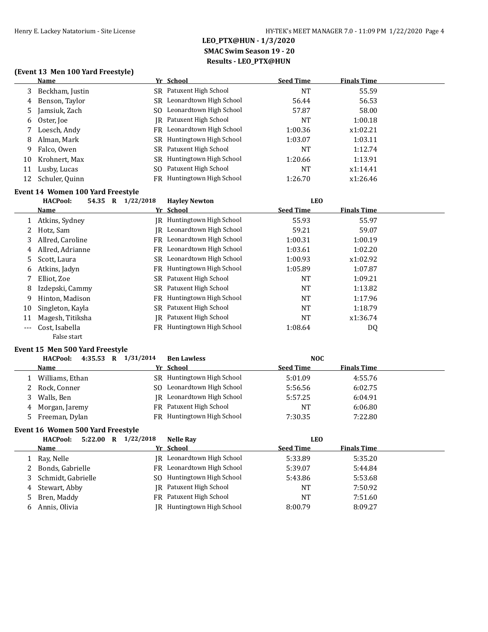### **(Event 13 Men 100 Yard Freestyle)**

|    | Name            |    | Yr School                  | <b>Seed Time</b> | <b>Finals Time</b> |
|----|-----------------|----|----------------------------|------------------|--------------------|
| 3  | Beckham, Justin |    | SR Patuxent High School    | NT               | 55.59              |
| 4  | Benson, Taylor  |    | SR Leonardtown High School | 56.44            | 56.53              |
| 5. | Jamsiuk, Zach   |    | SO Leonardtown High School | 57.87            | 58.00              |
| 6  | Oster, Joe      |    | IR Patuxent High School    | NT               | 1:00.18            |
|    | Loesch, Andy    |    | FR Leonardtown High School | 1:00.36          | x1:02.21           |
| 8  | Alman, Mark     |    | SR Huntingtown High School | 1:03.07          | 1:03.11            |
| 9. | Falco, Owen     |    | SR Patuxent High School    | NT               | 1:12.74            |
| 10 | Krohnert, Max   | SR | Huntingtown High School    | 1:20.66          | 1:13.91            |
| 11 | Lusby, Lucas    |    | SO Patuxent High School    | NT               | x1:14.41           |
| 12 | Schuler, Quinn  | FR | Huntingtown High School    | 1:26.70          | x1:26.46           |
|    |                 |    |                            |                  |                    |

### **Event 14 Women 100 Yard Freestyle**

|       | <b>HACPool:</b><br>54.35 R | 1/22/2018 | <b>Havley Newton</b>              | <b>LEO</b>       |                    |  |
|-------|----------------------------|-----------|-----------------------------------|------------------|--------------------|--|
|       | <u>Name-</u>               |           | Yr School                         | <b>Seed Time</b> | <b>Finals Time</b> |  |
|       | Atkins, Sydney             |           | JR Huntingtown High School        | 55.93            | 55.97              |  |
|       | Hotz, Sam                  | IR        | Leonardtown High School           | 59.21            | 59.07              |  |
| 3     | Allred, Caroline           |           | FR Leonardtown High School        | 1:00.31          | 1:00.19            |  |
| 4     | Allred, Adrianne           | FR.       | Leonardtown High School           | 1:03.61          | 1:02.20            |  |
| 5.    | Scott, Laura               |           | SR Leonardtown High School        | 1:00.93          | x1:02.92           |  |
| 6     | Atkins, Jadyn              |           | FR Huntingtown High School        | 1:05.89          | 1:07.87            |  |
|       | Elliot, Zoe                |           | SR Patuxent High School           | NT               | 1:09.21            |  |
| 8     | Izdepski, Cammy            |           | SR Patuxent High School           | NT               | 1:13.82            |  |
| 9     | Hinton, Madison            |           | <b>FR</b> Huntingtown High School | <b>NT</b>        | 1:17.96            |  |
| 10    | Singleton, Kayla           |           | SR Patuxent High School           | NT               | 1:18.79            |  |
| 11    | Magesh, Titiksha           |           | IR Patuxent High School           | NT               | x1:36.74           |  |
| $---$ | Cost, Isabella             |           | FR Huntingtown High School        | 1:08.64          | DQ                 |  |
|       | False start                |           |                                   |                  |                    |  |

### **Event 15 Men 500 Yard Freestyle**

| 4:35.53 R $1/31/2014$<br><b>HACPool:</b> |     | <b>Ben Lawless</b>         | <b>NOC</b>       |                    |
|------------------------------------------|-----|----------------------------|------------------|--------------------|
| Name                                     |     | Yr School                  | <b>Seed Time</b> | <b>Finals Time</b> |
| Williams, Ethan                          |     | SR Huntingtown High School | 5:01.09          | 4:55.76            |
| Rock, Conner                             | SO. | Leonardtown High School    | 5:56.56          | 6:02.75            |
| Walls, Ben                               | IR  | Leonardtown High School    | 5:57.25          | 6:04.91            |
| 4 Morgan, Jaremy                         |     | FR Patuxent High School    | <b>NT</b>        | 6:06.80            |
| Freeman, Dylan                           |     | FR Huntingtown High School | 7:30.35          | 7:22.80            |

### **Event 16 Women 500 Yard Freestyle**

|    | 5:22.00<br><b>HACPool:</b><br>R | 1/22/2018 | <b>Nelle Ray</b>           | <b>LEO</b>       |                    |
|----|---------------------------------|-----------|----------------------------|------------------|--------------------|
|    | Name                            |           | Yr School                  | <b>Seed Time</b> | <b>Finals Time</b> |
|    | 1 Ray, Nelle                    |           | IR Leonardtown High School | 5:33.89          | 5:35.20            |
|    | 2 Bonds, Gabrielle              |           | FR Leonardtown High School | 5:39.07          | 5:44.84            |
| 3. | Schmidt, Gabrielle              |           | SO Huntingtown High School | 5:43.86          | 5:53.68            |
|    | 4 Stewart, Abby                 |           | IR Patuxent High School    | <b>NT</b>        | 7:50.92            |
|    | 5 Bren, Maddy                   |           | FR Patuxent High School    | <b>NT</b>        | 7:51.60            |
|    | 6 Annis. Olivia                 |           | JR Huntingtown High School | 8:00.79          | 8:09.27            |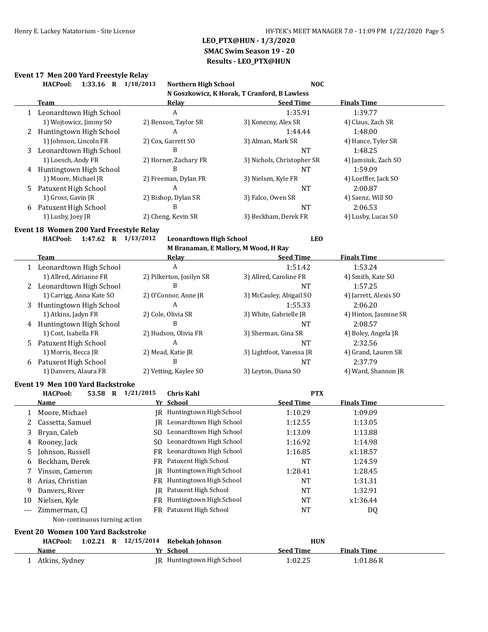# **Event 17 Men 200 Yard Freestyle Relay**

|       | 1:33.16 R 1/18/2013<br><b>HACPool:</b>    | <b>Northern High School</b>                  | <b>NOC</b>                 |                       |
|-------|-------------------------------------------|----------------------------------------------|----------------------------|-----------------------|
|       |                                           | N Goszkowicz, K Horak, T Cranford, B Lawless |                            |                       |
|       | <b>Team</b>                               | Relay                                        | <b>Seed Time</b>           | <b>Finals Time</b>    |
|       | 1 Leonardtown High School                 | A                                            | 1:35.91                    | 1:39.77               |
|       | 1) Wojtowicz, Jimmy SO                    | 2) Benson, Taylor SR                         | 3) Konecny, Alex SR        | 4) Claus, Zach SR     |
| 2     | Huntingtown High School                   | A                                            | 1:44.44                    | 1:48.00               |
|       | 1) Johnson, Lincoln FR                    | 2) Cox, Garrett SO                           | 3) Alman, Mark SR          | 4) Hance, Tyler SR    |
| 3     | Leonardtown High School                   | B                                            | <b>NT</b>                  | 1:48.25               |
|       | 1) Loesch, Andy FR                        | 2) Horner, Zachary FR                        | 3) Nichols, Christopher SR | 4) Jamsiuk, Zach SO   |
|       | 4 Huntingtown High School                 | B                                            | <b>NT</b>                  | 1:59.09               |
|       | 1) Moore, Michael JR                      | 2) Freeman, Dylan FR                         | 3) Nielsen, Kyle FR        | 4) Loeffler, Jack SO  |
| 5     | Patuxent High School                      | A                                            | <b>NT</b>                  | 2:00.87               |
|       | 1) Gross, Gavin JR                        | 2) Bishop, Dylan SR                          | 3) Falco, Owen SR          | 4) Saenz, Will SO     |
| 6     | Patuxent High School                      | B                                            | <b>NT</b>                  | 2:06.53               |
|       | 1) Lusby, Joey JR                         | 2) Cheng, Kevin SR                           | 3) Beckham, Derek FR       | 4) Lusby, Lucas SO    |
|       | Event 18 Women 200 Yard Freestyle Relay   |                                              |                            |                       |
|       | <b>HACPool:</b><br>1:47.62 R 1/13/2012    | <b>Leonardtown High School</b>               | <b>LEO</b>                 |                       |
|       |                                           | M Branaman, E Mallory, M Wood, H Ray         |                            |                       |
|       | Team                                      | <b>Relay</b>                                 | <b>Seed Time</b>           | <b>Finals Time</b>    |
|       | 1 Leonardtown High School                 | A                                            | 1:51.42                    | 1:53.24               |
|       | 1) Allred, Adrianne FR                    | 2) Pilkerton, Josilyn SR                     | 3) Allred, Caroline FR     | 4) Smith, Kate SO     |
|       | 2 Leonardtown High School                 | B                                            | NT                         | 1:57.25               |
|       | 1) Carrigg, Anna Kate SO                  | 2) O'Connor, Anne JR                         | 3) McCauley, Abigail SO    | 4) Jarrett, Alexis SO |
| 3     | Huntingtown High School                   | A                                            | 1:55.33                    | 2:06.20               |
|       | 1) Atkins, Jadyn FR                       | 2) Cole, Olivia SR                           | 3) White, Gabrielle JR     | 4) Hinton, Jasmine SR |
| 4     | Huntingtown High School                   | B                                            | NT                         | 2:08.57               |
|       | 1) Cost, Isabella FR                      | 2) Hudson, Olivia FR                         | 3) Sherman, Gina SR        | 4) Boley, Angela JR   |
| 5     | Patuxent High School                      | A                                            | NT                         | 2:32.56               |
|       | 1) Morris, Becca JR                       | 2) Mead, Katie JR                            | 3) Lightfoot, Vanessa JR   | 4) Grand, Lauren SR   |
| 6     | Patuxent High School                      | B                                            | <b>NT</b>                  | 2:37.79               |
|       | 1) Danvers, Alaura FR                     | 2) Vetting, Kaylee SO                        | 3) Leyton, Diana SO        | 4) Ward, Shannon JR   |
|       | Event 19 Men 100 Yard Backstroke          |                                              |                            |                       |
|       | 53.58 R 1/21/2015<br><b>HACPool:</b>      | <b>Chris Kahl</b>                            | <b>PTX</b>                 |                       |
|       | Name                                      | Yr School                                    | <b>Seed Time</b>           | <b>Finals Time</b>    |
| 1     | Moore, Michael                            | JR Huntingtown High School                   | 1:10.29                    | 1:09.09               |
| 2     | Cassetta, Samuel                          | JR Leonardtown High School                   | 1:12.55                    | 1:13.05               |
| 3     | Bryan, Caleb                              | SO Leonardtown High School                   | 1:13.09                    | 1:13.88               |
| 4     | Rooney, Jack                              | SO Leonardtown High School                   | 1:16.92                    | 1:14.98               |
| 5     | Johnson, Russell                          | FR Leonardtown High School                   | 1:16.85                    | x1:18.57              |
|       |                                           | FR Patuxent High School                      |                            |                       |
| 6     | Beckham, Derek<br>Vinson, Cameron         | JR Huntingtown High School                   | NT<br>1:28.41              | 1:24.59<br>1:28.45    |
| 7     |                                           | FR Huntingtown High School                   |                            |                       |
| 8     | Arias, Christian                          |                                              | NT                         | 1:31.31               |
| 9     | Danvers, River                            | JR Patuxent High School                      | NT                         | 1:32.91               |
| 10    | Nielsen, Kyle                             | FR Huntingtown High School                   | NT                         | x1:36.44              |
| $---$ | Zimmerman, CJ                             | FR Patuxent High School                      | <b>NT</b>                  | DQ                    |
|       | Non-continuous turning action             |                                              |                            |                       |
|       | <b>Event 20 Women 100 Yard Backstroke</b> |                                              |                            |                       |
|       | 1:02.21 R 12/15/2014<br><b>HACPool:</b>   | Rebekah Johnson                              | <b>HUN</b>                 |                       |
|       | <u>Name</u>                               | <u>Yr School</u>                             | <b>Seed Time</b>           | <b>Finals Time</b>    |
|       | 1 Atkins, Sydney                          | JR Huntingtown High School                   | 1:02.25                    | 1:01.86R              |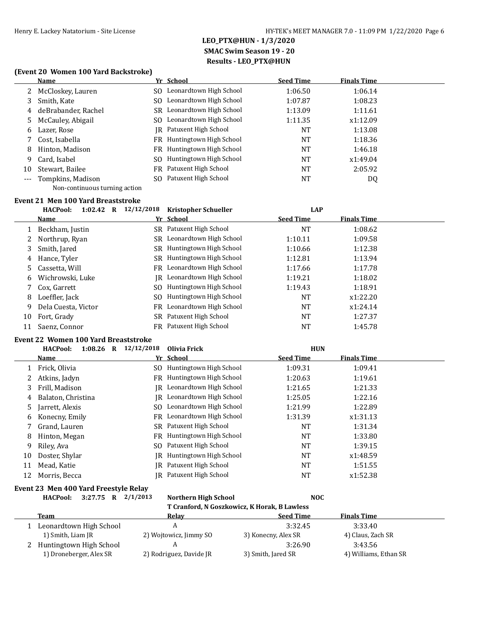### **(Event 20 Women 100 Yard Backstroke)**

|     | <b>Name</b>                   |     | Yr School                      | <b>Seed Time</b> | <b>Finals Time</b> |  |
|-----|-------------------------------|-----|--------------------------------|------------------|--------------------|--|
|     | McCloskey, Lauren             | SO. | Leonardtown High School        | 1:06.50          | 1:06.14            |  |
| 3   | Smith, Kate                   | SO. | Leonardtown High School        | 1:07.87          | 1:08.23            |  |
| 4   | deBrabander, Rachel           |     | SR Leonardtown High School     | 1:13.09          | 1:11.61            |  |
|     | 5 McCauley, Abigail           | SO. | Leonardtown High School        | 1:11.35          | x1:12.09           |  |
| 6   | Lazer, Rose                   |     | IR Patuxent High School        | <b>NT</b>        | 1:13.08            |  |
|     | Cost, Isabella                | FR  | Huntingtown High School        | <b>NT</b>        | 1:18.36            |  |
| 8   | Hinton, Madison               |     | FR Huntingtown High School     | <b>NT</b>        | 1:46.18            |  |
| 9   | Card, Isabel                  | SO. | Huntingtown High School        | <b>NT</b>        | x1:49.04           |  |
| 10  | Stewart, Bailee               |     | <b>FR</b> Patuxent High School | <b>NT</b>        | 2:05.92            |  |
| --- | Tompkins, Madison             |     | SO Patuxent High School        | <b>NT</b>        | DQ                 |  |
|     | Non-continuous turning action |     |                                |                  |                    |  |

## **Event 21 Men 100 Yard Breaststroke**

|    | <b>HACPool:</b><br>1:02.42<br>R | 12/12/2018<br><b>Kristopher Schueller</b> | <b>LAP</b>       |                    |
|----|---------------------------------|-------------------------------------------|------------------|--------------------|
|    | <b>Name</b>                     | Yr School                                 | <b>Seed Time</b> | <b>Finals Time</b> |
|    | Beckham, Justin                 | SR Patuxent High School                   | NT               | 1:08.62            |
| 2  | Northrup, Ryan                  | SR Leonardtown High School                | 1:10.11          | 1:09.58            |
| 3  | Smith, Jared                    | SR Huntingtown High School                | 1:10.66          | 1:12.38            |
| 4  | Hance, Tyler                    | Huntingtown High School<br>SR.            | 1:12.81          | 1:13.94            |
| 5  | Cassetta, Will                  | Leonardtown High School<br>FR             | 1:17.66          | 1:17.78            |
| 6  | Wichrowski, Luke                | Leonardtown High School<br>IR-            | 1:19.21          | 1:18.02            |
|    | Cox. Garrett                    | Huntingtown High School<br>SO.            | 1:19.43          | 1:18.91            |
| 8  | Loeffler, Jack                  | Huntingtown High School<br>SO.            | NT               | x1:22.20           |
| 9  | Dela Cuesta, Victor             | Leonardtown High School<br>FR             | NT               | x1:24.14           |
| 10 | Fort, Grady                     | SR Patuxent High School                   | NT               | 1:27.37            |
| 11 | Saenz, Connor                   | FR Patuxent High School                   | NT               | 1:45.78            |

#### **Event 22 Women 100 Yard Breaststroke**

|    | <b>HACPool:</b><br>$1:08.26$ R | 12/12/2018<br>Olivia Frick |                                | <b>HUN</b>       |                    |
|----|--------------------------------|----------------------------|--------------------------------|------------------|--------------------|
|    | Name                           | Yr School                  |                                | <b>Seed Time</b> | <b>Finals Time</b> |
|    | Frick, Olivia                  | SO.                        | Huntingtown High School        | 1:09.31          | 1:09.41            |
|    | Atkins, Jadyn                  | FR.                        | Huntingtown High School        | 1:20.63          | 1:19.61            |
| 3  | Frill, Madison                 | IR                         | Leonardtown High School        | 1:21.65          | 1:21.33            |
| 4  | Balaton, Christina             | IR.                        | Leonardtown High School        | 1:25.05          | 1:22.16            |
| 5. | Jarrett, Alexis                | SO.                        | Leonardtown High School        | 1:21.99          | 1:22.89            |
| 6  | Konecny, Emily                 | FR                         | Leonardtown High School        | 1:31.39          | x1:31.13           |
|    | Grand, Lauren                  |                            | SR Patuxent High School        | <b>NT</b>        | 1:31.34            |
| 8  | Hinton, Megan                  | FR                         | Huntingtown High School        | <b>NT</b>        | 1:33.80            |
| 9  | Riley, Ava                     | SO.                        | Patuxent High School           | <b>NT</b>        | 1:39.15            |
| 10 | Doster, Shylar                 | IR                         | Huntingtown High School        | <b>NT</b>        | x1:48.59           |
| 11 | Mead, Katie                    | IR                         | Patuxent High School           | <b>NT</b>        | 1:51.55            |
| 12 | Morris, Becca                  |                            | <b>IR</b> Patuxent High School | NT               | x1:52.38           |

### **Event 23 Men 400 Yard Freestyle Relay**

**HACPool: 3:27.75 R 2/1/2013 Northern High School NOC**

## **T Cranford, N Goszkowicz, K Horak, B Lawless**

| Team                    | Relav                   | <b>Seed Time</b>    | <b>Finals Time</b>    |
|-------------------------|-------------------------|---------------------|-----------------------|
| Leonardtown High School |                         | 3:32.45             | 3:33.40               |
| 1) Smith, Liam JR       | 2) Wojtowicz, Jimmy SO  | 3) Konecny, Alex SR | 4) Claus, Zach SR     |
| Huntingtown High School |                         | 3:26.90             | 3:43.56               |
| 1) Droneberger, Alex SR | 2) Rodriguez, Davide JR | 3) Smith, Jared SR  | 4) Williams, Ethan SR |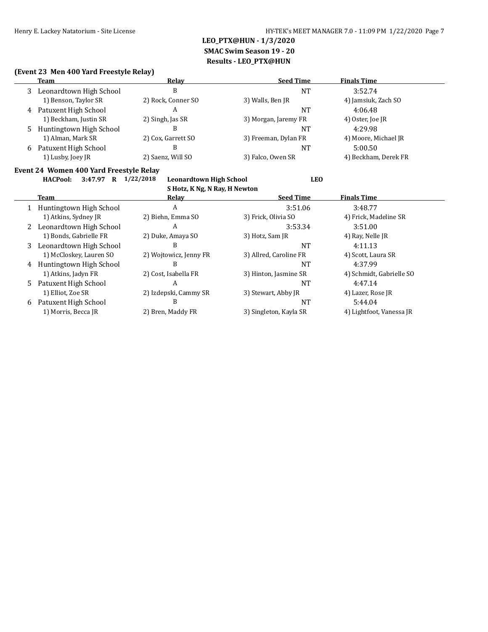### **(Event 23 Men 400 Yard Freestyle Relay)**

|   | Team                      | Relav              | <b>Seed Time</b>     | <b>Finals Time</b>   |  |
|---|---------------------------|--------------------|----------------------|----------------------|--|
| 3 | Leonardtown High School   | B                  | NT                   | 3:52.74              |  |
|   | 1) Benson, Taylor SR      | 2) Rock, Conner SO | 3) Walls, Ben JR     | 4) Jamsiuk, Zach SO  |  |
|   | 4 Patuxent High School    | А                  | NT                   | 4:06.48              |  |
|   | 1) Beckham, Justin SR     | 2) Singh, Jas SR   | 3) Morgan, Jaremy FR | 4) Oster, Joe JR     |  |
|   | 5 Huntingtown High School | В                  | NΤ                   | 4:29.98              |  |
|   | 1) Alman, Mark SR         | 2) Cox, Garrett SO | 3) Freeman, Dylan FR | 4) Moore, Michael JR |  |
| 6 | Patuxent High School      | В                  | NT                   | 5:00.50              |  |
|   | 1) Lusby, Joey JR         | 2) Saenz, Will SO  | 3) Falco, Owen SR    | 4) Beckham, Derek FR |  |

#### **Event 24 Women 400 Yard Freestyle Relay**

#### **HACPool: 3:47.97 R 1/22/2018 Leonardtown High School LEO S Hotz, K Ng, N Ray, H Newton**

|    | 5 HOTZ, K NG, N KAY, H NEWTON |                        |                        |                          |  |  |
|----|-------------------------------|------------------------|------------------------|--------------------------|--|--|
|    | Team                          | Relav                  | <b>Seed Time</b>       | <b>Finals Time</b>       |  |  |
|    | Huntingtown High School       | A                      | 3:51.06                | 3:48.77                  |  |  |
|    | 1) Atkins, Sydney JR          | 2) Biehn, Emma SO      | 3) Frick, Olivia SO    | 4) Frick, Madeline SR    |  |  |
|    | Leonardtown High School       | A                      | 3:53.34                | 3:51.00                  |  |  |
|    | 1) Bonds, Gabrielle FR        | 2) Duke, Amaya SO      | 3) Hotz, Sam JR        | 4) Ray, Nelle JR         |  |  |
| 3  | Leonardtown High School       | В                      | NT                     | 4:11.13                  |  |  |
|    | 1) McCloskey, Lauren SO       | 2) Wojtowicz, Jenny FR | 3) Allred, Caroline FR | 4) Scott, Laura SR       |  |  |
| 4  | Huntingtown High School       | B                      | <b>NT</b>              | 4:37.99                  |  |  |
|    | 1) Atkins, Jadyn FR           | 2) Cost, Isabella FR   | 3) Hinton, Jasmine SR  | 4) Schmidt, Gabrielle SO |  |  |
| 5. | Patuxent High School          | A                      | <b>NT</b>              | 4:47.14                  |  |  |
|    | 1) Elliot, Zoe SR             | 2) Izdepski, Cammy SR  | 3) Stewart, Abby JR    | 4) Lazer, Rose JR        |  |  |
| 6  | Patuxent High School          | В                      | <b>NT</b>              | 5:44.04                  |  |  |
|    | 1) Morris, Becca JR           | 2) Bren, Maddy FR      | 3) Singleton, Kayla SR | 4) Lightfoot, Vanessa JR |  |  |